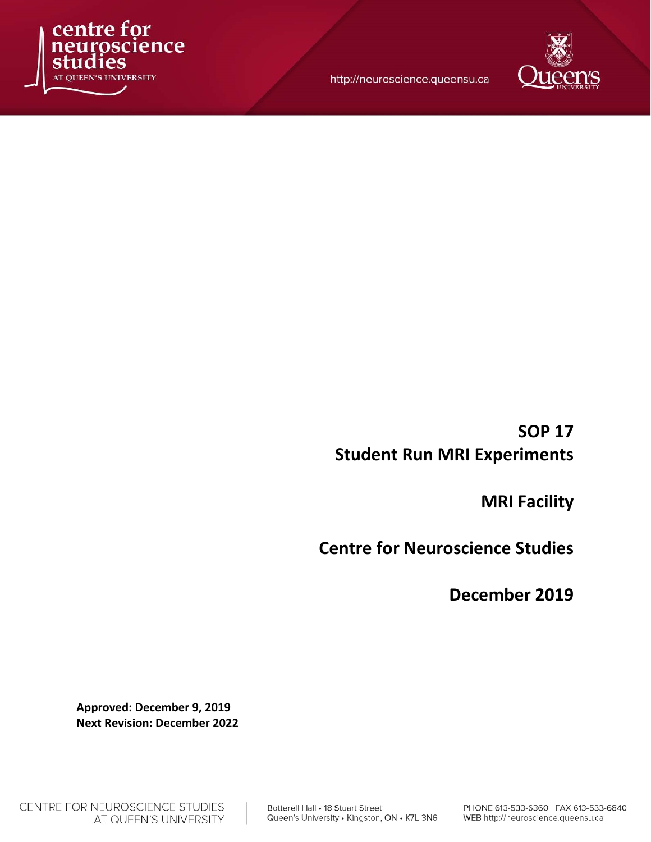

http://neuroscience.queensu.ca



# SOP 17 Student Run MRI Experiments

MRI Facility

Centre for Neuroscience Studies

December 2019

Approved: December 9, 2019 Next Revision: December 2022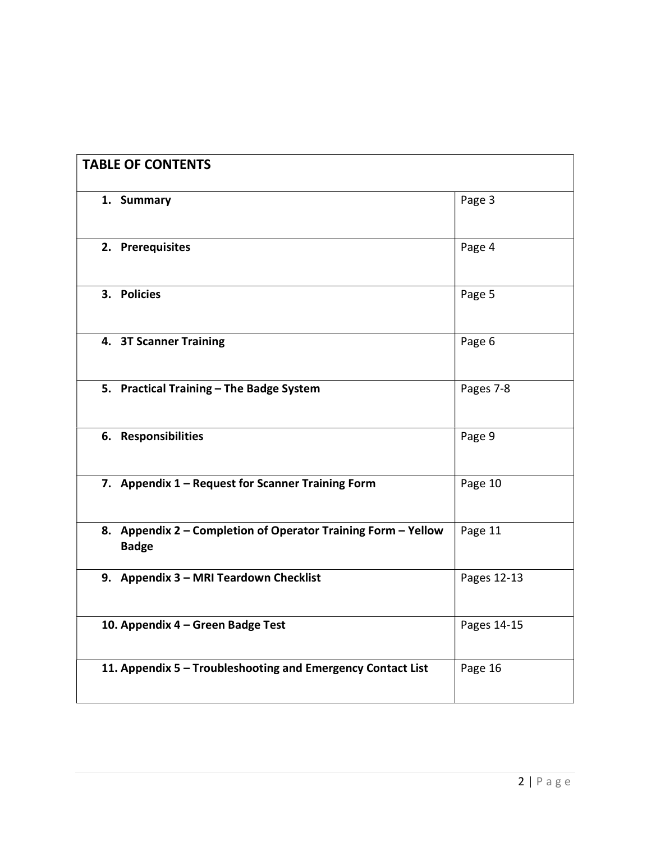| <b>TABLE OF CONTENTS</b>                                                      |             |
|-------------------------------------------------------------------------------|-------------|
| 1. Summary                                                                    | Page 3      |
| 2. Prerequisites                                                              | Page 4      |
| 3. Policies                                                                   | Page 5      |
| 4. 3T Scanner Training                                                        | Page 6      |
| 5. Practical Training - The Badge System                                      | Pages 7-8   |
| 6. Responsibilities                                                           | Page 9      |
| 7. Appendix 1 - Request for Scanner Training Form                             | Page 10     |
| 8. Appendix 2 - Completion of Operator Training Form - Yellow<br><b>Badge</b> | Page 11     |
| 9. Appendix 3 - MRI Teardown Checklist                                        | Pages 12-13 |
| 10. Appendix 4 - Green Badge Test                                             | Pages 14-15 |
| 11. Appendix 5 - Troubleshooting and Emergency Contact List                   | Page 16     |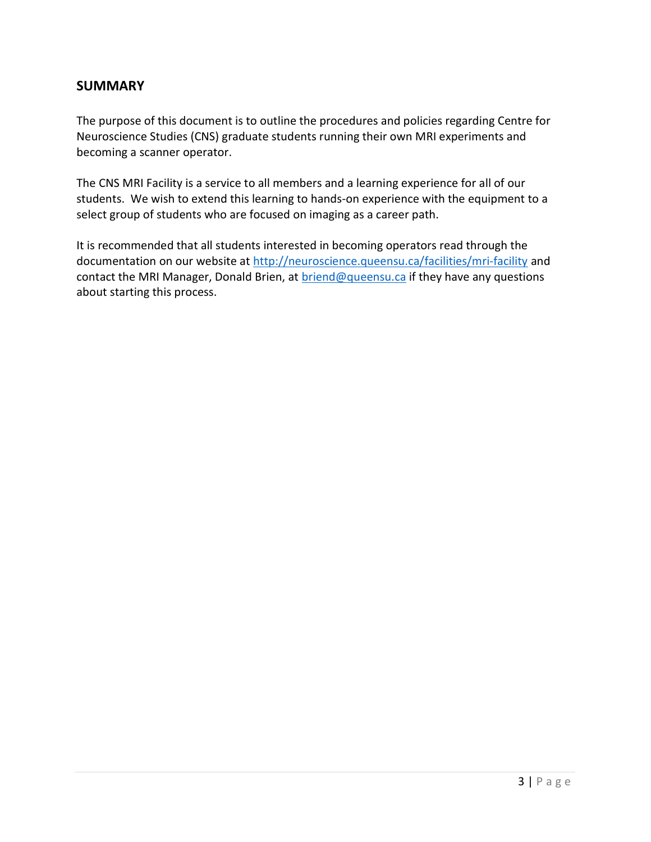### **SUMMARY**

The purpose of this document is to outline the procedures and policies regarding Centre for Neuroscience Studies (CNS) graduate students running their own MRI experiments and becoming a scanner operator.

The CNS MRI Facility is a service to all members and a learning experience for all of our students. We wish to extend this learning to hands-on experience with the equipment to a select group of students who are focused on imaging as a career path.

It is recommended that all students interested in becoming operators read through the documentation on our website at http://neuroscience.queensu.ca/facilities/mri-facility and contact the MRI Manager, Donald Brien, at **briend@queensu.ca** if they have any questions about starting this process.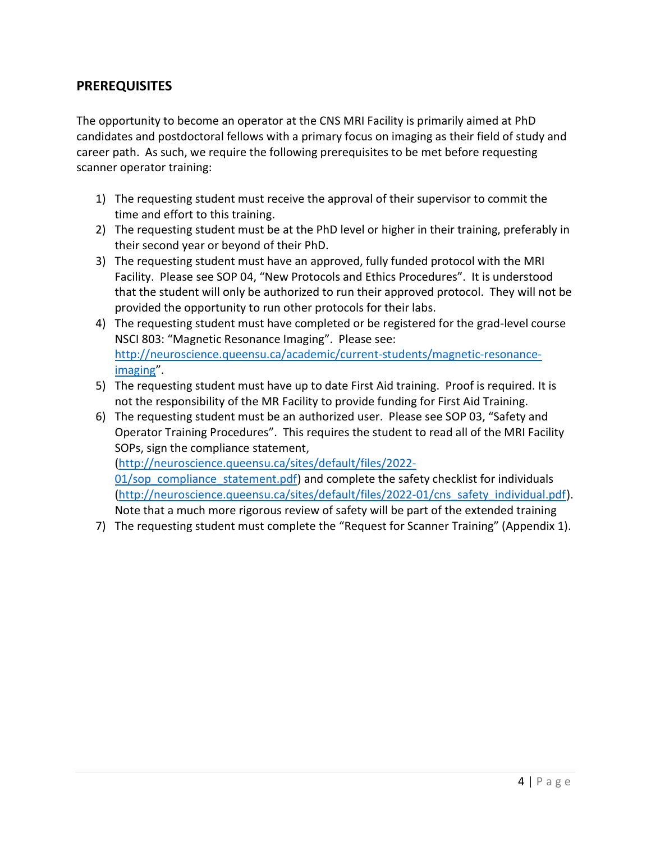## PREREQUISITES

The opportunity to become an operator at the CNS MRI Facility is primarily aimed at PhD candidates and postdoctoral fellows with a primary focus on imaging as their field of study and career path. As such, we require the following prerequisites to be met before requesting scanner operator training:

- 1) The requesting student must receive the approval of their supervisor to commit the time and effort to this training.
- 2) The requesting student must be at the PhD level or higher in their training, preferably in their second year or beyond of their PhD.
- 3) The requesting student must have an approved, fully funded protocol with the MRI Facility. Please see SOP 04, "New Protocols and Ethics Procedures". It is understood that the student will only be authorized to run their approved protocol. They will not be provided the opportunity to run other protocols for their labs.
- 4) The requesting student must have completed or be registered for the grad-level course NSCI 803: "Magnetic Resonance Imaging". Please see: http://neuroscience.queensu.ca/academic/current-students/magnetic-resonanceimaging".
- 5) The requesting student must have up to date First Aid training. Proof is required. It is not the responsibility of the MR Facility to provide funding for First Aid Training.
- 6) The requesting student must be an authorized user. Please see SOP 03, "Safety and Operator Training Procedures". This requires the student to read all of the MRI Facility SOPs, sign the compliance statement, (http://neuroscience.queensu.ca/sites/default/files/2022- 01/sop\_compliance\_statement.pdf) and complete the safety checklist for individuals (http://neuroscience.queensu.ca/sites/default/files/2022-01/cns\_safety\_individual.pdf).

Note that a much more rigorous review of safety will be part of the extended training

7) The requesting student must complete the "Request for Scanner Training" (Appendix 1).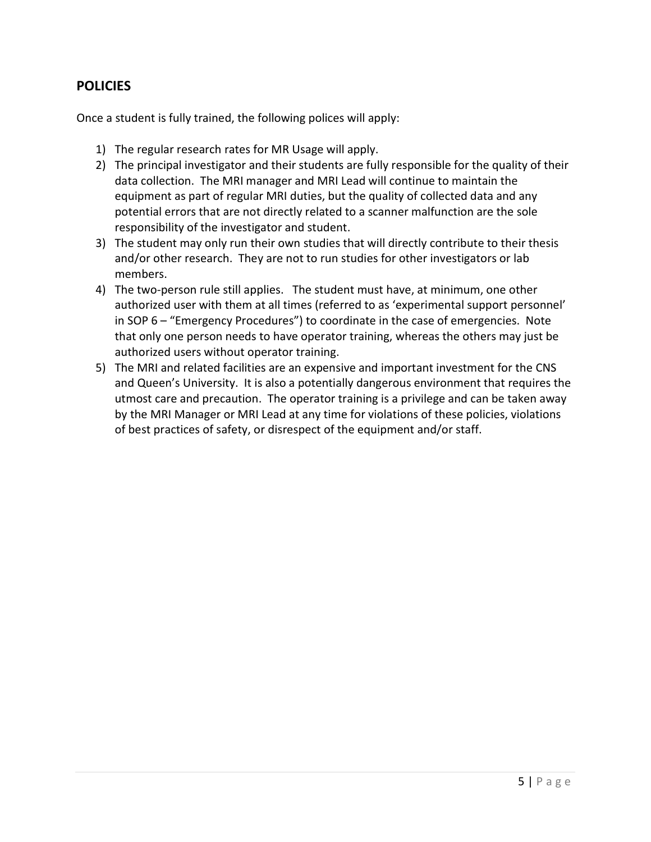## **POLICIES**

Once a student is fully trained, the following polices will apply:

- 1) The regular research rates for MR Usage will apply.
- 2) The principal investigator and their students are fully responsible for the quality of their data collection. The MRI manager and MRI Lead will continue to maintain the equipment as part of regular MRI duties, but the quality of collected data and any potential errors that are not directly related to a scanner malfunction are the sole responsibility of the investigator and student.
- 3) The student may only run their own studies that will directly contribute to their thesis and/or other research. They are not to run studies for other investigators or lab members.
- 4) The two-person rule still applies. The student must have, at minimum, one other authorized user with them at all times (referred to as 'experimental support personnel' in SOP 6 – "Emergency Procedures") to coordinate in the case of emergencies. Note that only one person needs to have operator training, whereas the others may just be authorized users without operator training.
- 5) The MRI and related facilities are an expensive and important investment for the CNS and Queen's University. It is also a potentially dangerous environment that requires the utmost care and precaution. The operator training is a privilege and can be taken away by the MRI Manager or MRI Lead at any time for violations of these policies, violations of best practices of safety, or disrespect of the equipment and/or staff.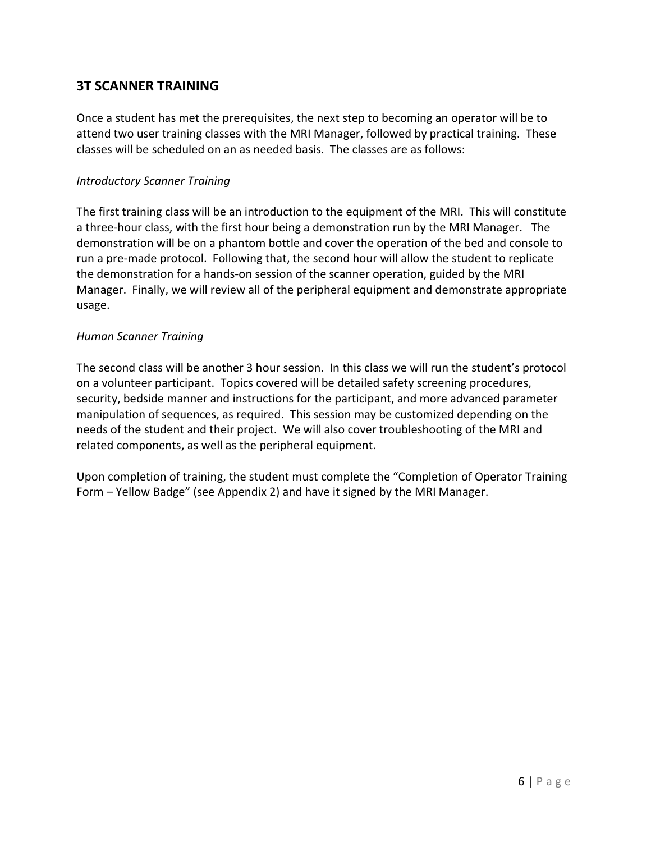## 3T SCANNER TRAINING

Once a student has met the prerequisites, the next step to becoming an operator will be to attend two user training classes with the MRI Manager, followed by practical training. These classes will be scheduled on an as needed basis. The classes are as follows:

#### Introductory Scanner Training

The first training class will be an introduction to the equipment of the MRI. This will constitute a three-hour class, with the first hour being a demonstration run by the MRI Manager. The demonstration will be on a phantom bottle and cover the operation of the bed and console to run a pre-made protocol. Following that, the second hour will allow the student to replicate the demonstration for a hands-on session of the scanner operation, guided by the MRI Manager. Finally, we will review all of the peripheral equipment and demonstrate appropriate usage.

#### Human Scanner Training

The second class will be another 3 hour session. In this class we will run the student's protocol on a volunteer participant. Topics covered will be detailed safety screening procedures, security, bedside manner and instructions for the participant, and more advanced parameter manipulation of sequences, as required. This session may be customized depending on the needs of the student and their project. We will also cover troubleshooting of the MRI and related components, as well as the peripheral equipment.

Upon completion of training, the student must complete the "Completion of Operator Training Form – Yellow Badge" (see Appendix 2) and have it signed by the MRI Manager.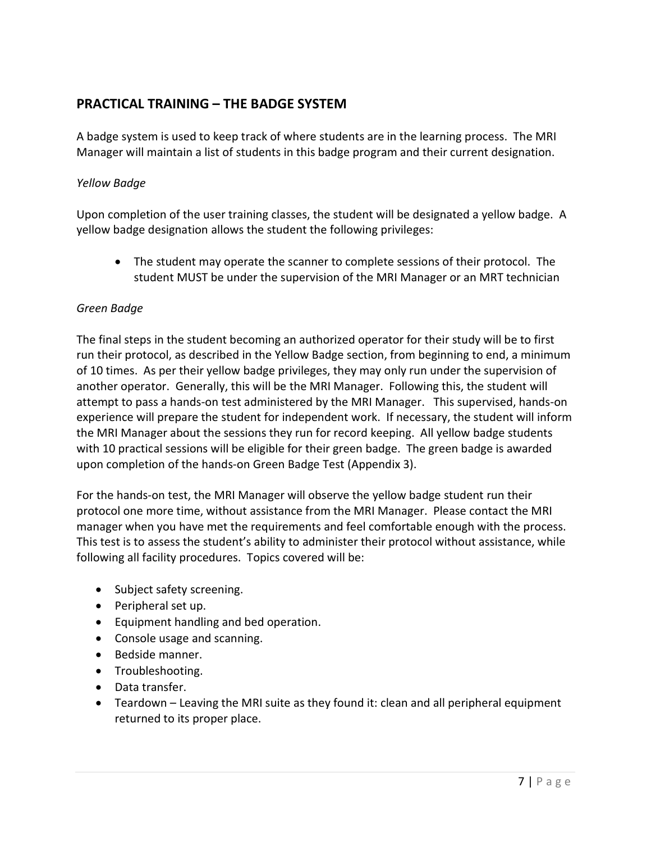# PRACTICAL TRAINING – THE BADGE SYSTEM

A badge system is used to keep track of where students are in the learning process. The MRI Manager will maintain a list of students in this badge program and their current designation.

#### Yellow Badge

Upon completion of the user training classes, the student will be designated a yellow badge. A yellow badge designation allows the student the following privileges:

 The student may operate the scanner to complete sessions of their protocol. The student MUST be under the supervision of the MRI Manager or an MRT technician

#### Green Badge

The final steps in the student becoming an authorized operator for their study will be to first run their protocol, as described in the Yellow Badge section, from beginning to end, a minimum of 10 times. As per their yellow badge privileges, they may only run under the supervision of another operator. Generally, this will be the MRI Manager. Following this, the student will attempt to pass a hands-on test administered by the MRI Manager. This supervised, hands-on experience will prepare the student for independent work. If necessary, the student will inform the MRI Manager about the sessions they run for record keeping. All yellow badge students with 10 practical sessions will be eligible for their green badge. The green badge is awarded upon completion of the hands-on Green Badge Test (Appendix 3).

For the hands-on test, the MRI Manager will observe the yellow badge student run their protocol one more time, without assistance from the MRI Manager. Please contact the MRI manager when you have met the requirements and feel comfortable enough with the process. This test is to assess the student's ability to administer their protocol without assistance, while following all facility procedures. Topics covered will be:

- Subject safety screening.
- Peripheral set up.
- Equipment handling and bed operation.
- Console usage and scanning.
- Bedside manner.
- Troubleshooting.
- Data transfer.
- Teardown Leaving the MRI suite as they found it: clean and all peripheral equipment returned to its proper place.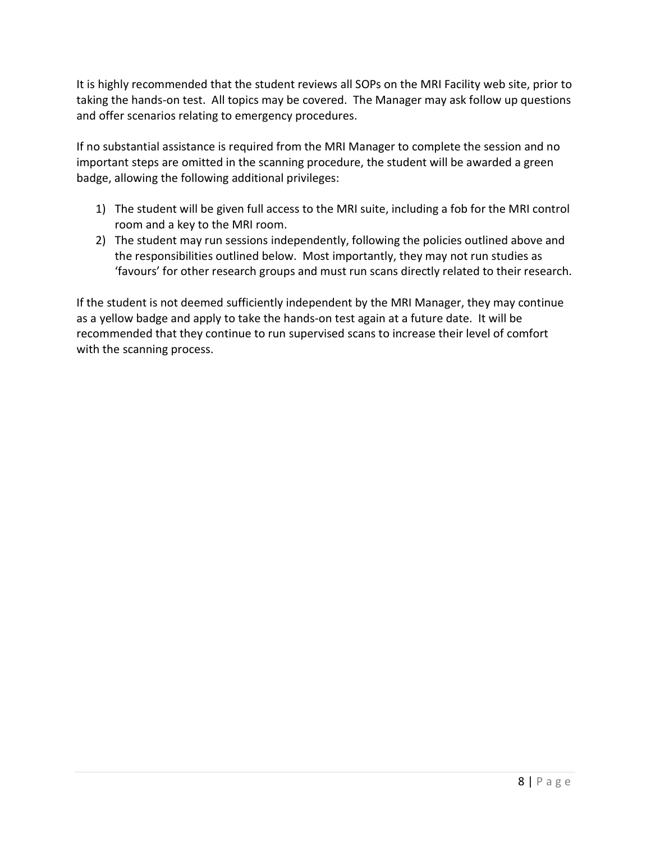It is highly recommended that the student reviews all SOPs on the MRI Facility web site, prior to taking the hands-on test. All topics may be covered. The Manager may ask follow up questions and offer scenarios relating to emergency procedures.

If no substantial assistance is required from the MRI Manager to complete the session and no important steps are omitted in the scanning procedure, the student will be awarded a green badge, allowing the following additional privileges:

- 1) The student will be given full access to the MRI suite, including a fob for the MRI control room and a key to the MRI room.
- 2) The student may run sessions independently, following the policies outlined above and the responsibilities outlined below. Most importantly, they may not run studies as 'favours' for other research groups and must run scans directly related to their research.

If the student is not deemed sufficiently independent by the MRI Manager, they may continue as a yellow badge and apply to take the hands-on test again at a future date. It will be recommended that they continue to run supervised scans to increase their level of comfort with the scanning process.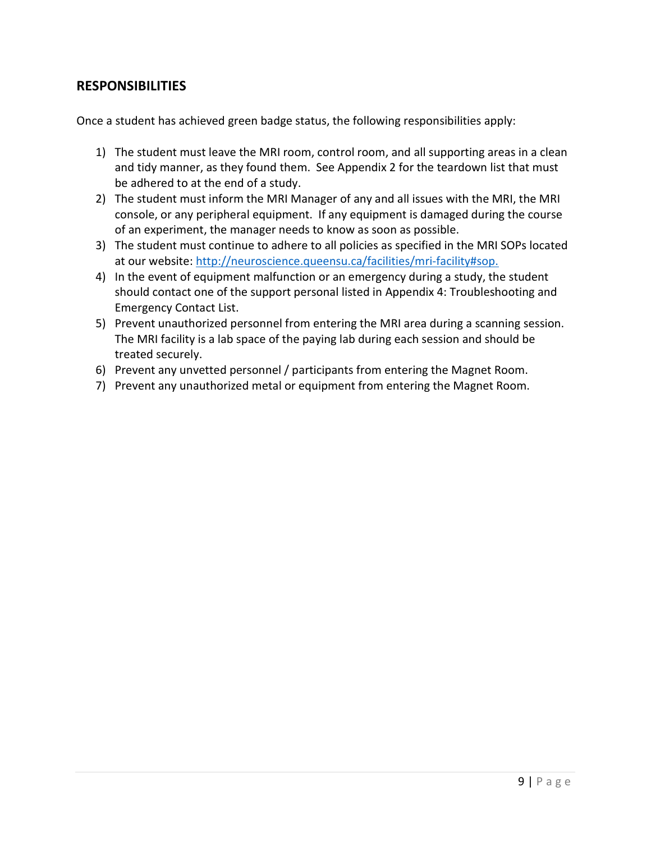## RESPONSIBILITIES

Once a student has achieved green badge status, the following responsibilities apply:

- 1) The student must leave the MRI room, control room, and all supporting areas in a clean and tidy manner, as they found them. See Appendix 2 for the teardown list that must be adhered to at the end of a study.
- 2) The student must inform the MRI Manager of any and all issues with the MRI, the MRI console, or any peripheral equipment. If any equipment is damaged during the course of an experiment, the manager needs to know as soon as possible.
- 3) The student must continue to adhere to all policies as specified in the MRI SOPs located at our website: http://neuroscience.queensu.ca/facilities/mri-facility#sop.
- 4) In the event of equipment malfunction or an emergency during a study, the student should contact one of the support personal listed in Appendix 4: Troubleshooting and Emergency Contact List.
- 5) Prevent unauthorized personnel from entering the MRI area during a scanning session. The MRI facility is a lab space of the paying lab during each session and should be treated securely.
- 6) Prevent any unvetted personnel / participants from entering the Magnet Room.
- 7) Prevent any unauthorized metal or equipment from entering the Magnet Room.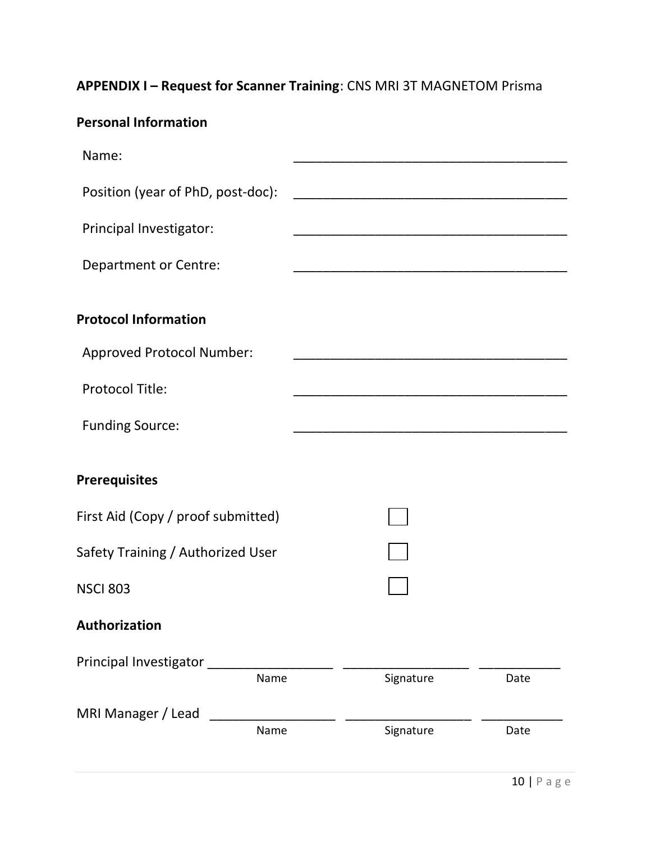# APPENDIX I – Request for Scanner Training: CNS MRI 3T MAGNETOM Prisma

# Personal Information

| Name:                              |      |                                              |      |
|------------------------------------|------|----------------------------------------------|------|
| Position (year of PhD, post-doc):  |      |                                              |      |
| Principal Investigator:            |      |                                              |      |
| <b>Department or Centre:</b>       |      |                                              |      |
| <b>Protocol Information</b>        |      |                                              |      |
| <b>Approved Protocol Number:</b>   |      | <u> 1989 - Johann Johnson, mars et al. (</u> |      |
| <b>Protocol Title:</b>             |      |                                              |      |
| <b>Funding Source:</b>             |      |                                              |      |
| <b>Prerequisites</b>               |      |                                              |      |
| First Aid (Copy / proof submitted) |      |                                              |      |
| Safety Training / Authorized User  |      |                                              |      |
| <b>NSCI 803</b>                    |      |                                              |      |
| Authorization                      |      |                                              |      |
| Principal Investigator             |      |                                              |      |
|                                    | Name | Signature                                    | Date |
| MRI Manager / Lead                 | Name | Signature                                    | Date |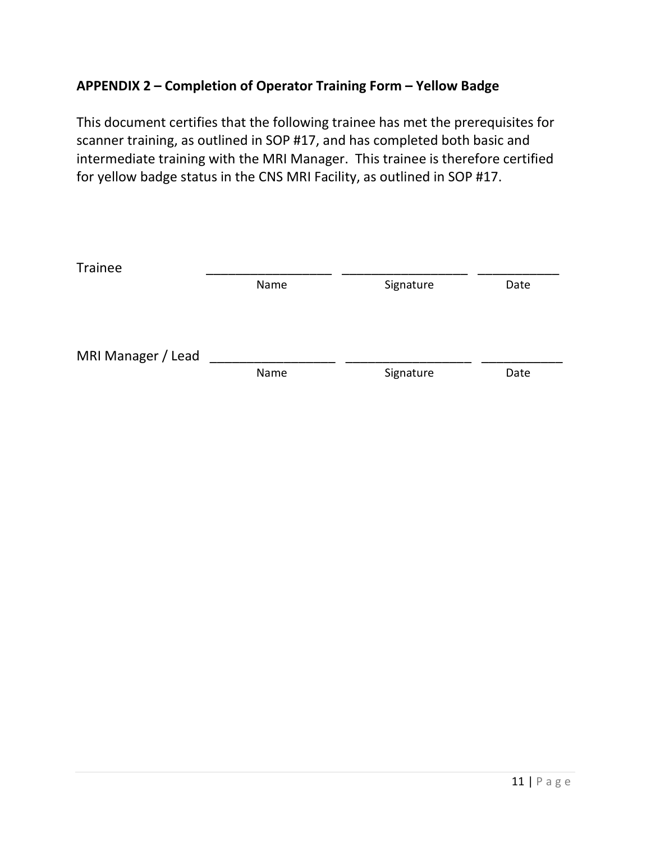# APPENDIX 2 – Completion of Operator Training Form – Yellow Badge

This document certifies that the following trainee has met the prerequisites for scanner training, as outlined in SOP #17, and has completed both basic and intermediate training with the MRI Manager. This trainee is therefore certified for yellow badge status in the CNS MRI Facility, as outlined in SOP #17.

| Trainee            |      |           |      |
|--------------------|------|-----------|------|
|                    | Name | Signature | Date |
|                    |      |           |      |
|                    |      |           |      |
| MRI Manager / Lead |      |           |      |
|                    | Name | Signature | Date |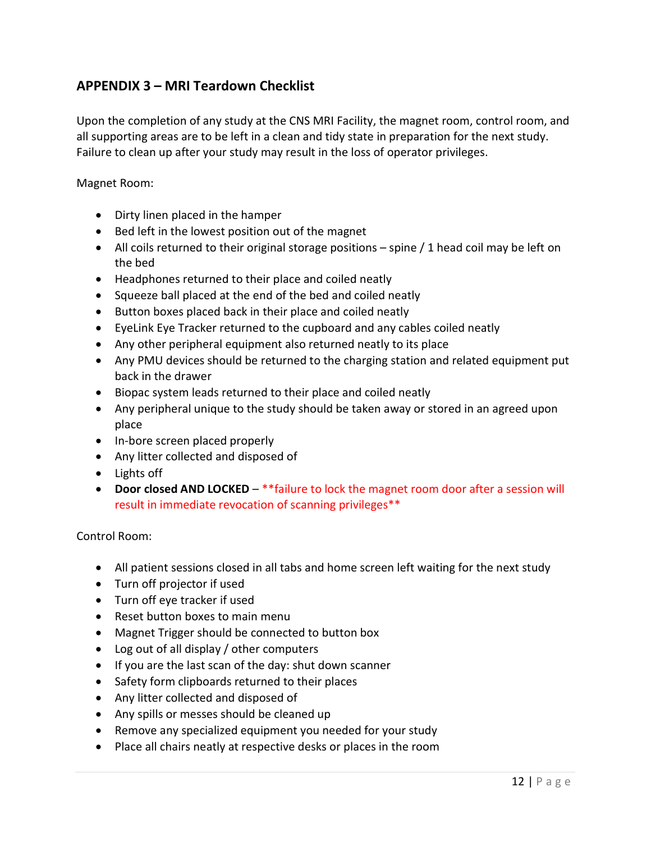# APPENDIX 3 – MRI Teardown Checklist

Upon the completion of any study at the CNS MRI Facility, the magnet room, control room, and all supporting areas are to be left in a clean and tidy state in preparation for the next study. Failure to clean up after your study may result in the loss of operator privileges.

Magnet Room:

- Dirty linen placed in the hamper
- Bed left in the lowest position out of the magnet
- All coils returned to their original storage positions spine / 1 head coil may be left on the bed
- Headphones returned to their place and coiled neatly
- Squeeze ball placed at the end of the bed and coiled neatly
- Button boxes placed back in their place and coiled neatly
- EyeLink Eye Tracker returned to the cupboard and any cables coiled neatly
- Any other peripheral equipment also returned neatly to its place
- Any PMU devices should be returned to the charging station and related equipment put back in the drawer
- Biopac system leads returned to their place and coiled neatly
- Any peripheral unique to the study should be taken away or stored in an agreed upon place
- In-bore screen placed properly
- Any litter collected and disposed of
- Lights off
- Door closed AND LOCKED \*\* failure to lock the magnet room door after a session will result in immediate revocation of scanning privileges\*\*

Control Room:

- All patient sessions closed in all tabs and home screen left waiting for the next study
- Turn off projector if used
- Turn off eye tracker if used
- Reset button boxes to main menu
- Magnet Trigger should be connected to button box
- Log out of all display / other computers
- If you are the last scan of the day: shut down scanner
- Safety form clipboards returned to their places
- Any litter collected and disposed of
- Any spills or messes should be cleaned up
- Remove any specialized equipment you needed for your study
- Place all chairs neatly at respective desks or places in the room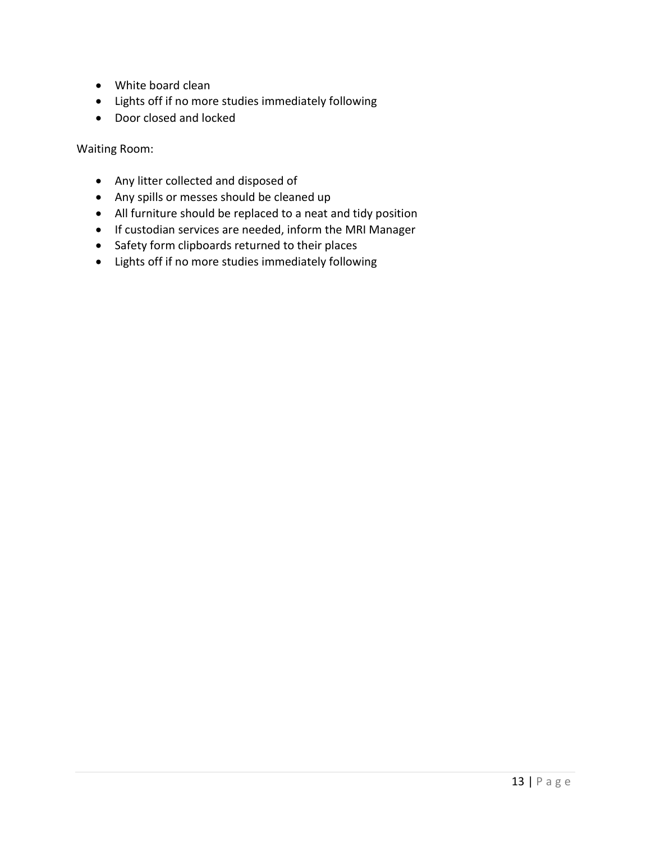- White board clean
- Lights off if no more studies immediately following
- Door closed and locked

Waiting Room:

- Any litter collected and disposed of
- Any spills or messes should be cleaned up
- All furniture should be replaced to a neat and tidy position
- If custodian services are needed, inform the MRI Manager
- Safety form clipboards returned to their places
- Lights off if no more studies immediately following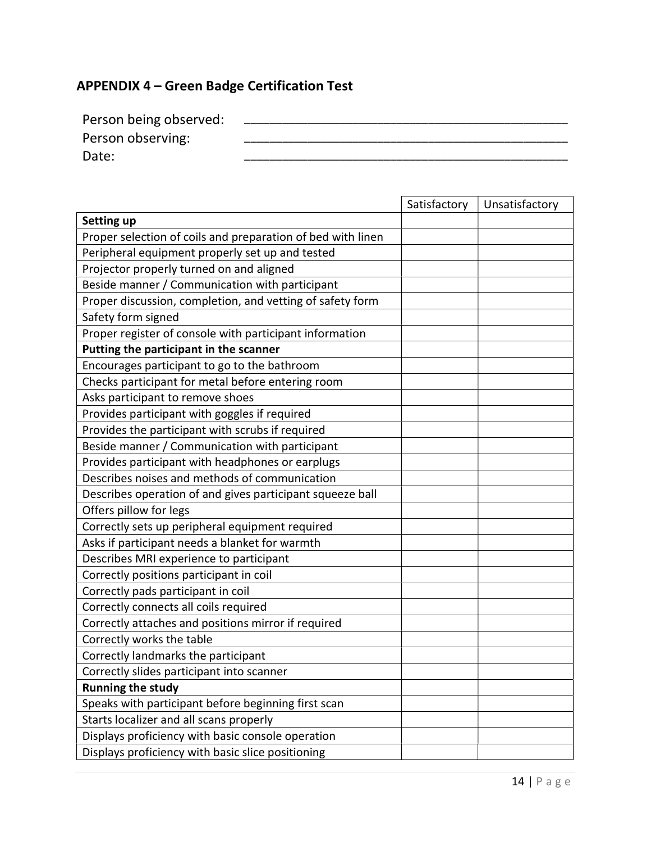# APPENDIX 4 – Green Badge Certification Test

| Person being observed: |  |
|------------------------|--|
| Person observing:      |  |
| Date:                  |  |

|                                                             | Satisfactory | Unsatisfactory |
|-------------------------------------------------------------|--------------|----------------|
| Setting up                                                  |              |                |
| Proper selection of coils and preparation of bed with linen |              |                |
| Peripheral equipment properly set up and tested             |              |                |
| Projector properly turned on and aligned                    |              |                |
| Beside manner / Communication with participant              |              |                |
| Proper discussion, completion, and vetting of safety form   |              |                |
| Safety form signed                                          |              |                |
| Proper register of console with participant information     |              |                |
| Putting the participant in the scanner                      |              |                |
| Encourages participant to go to the bathroom                |              |                |
| Checks participant for metal before entering room           |              |                |
| Asks participant to remove shoes                            |              |                |
| Provides participant with goggles if required               |              |                |
| Provides the participant with scrubs if required            |              |                |
| Beside manner / Communication with participant              |              |                |
| Provides participant with headphones or earplugs            |              |                |
| Describes noises and methods of communication               |              |                |
| Describes operation of and gives participant squeeze ball   |              |                |
| Offers pillow for legs                                      |              |                |
| Correctly sets up peripheral equipment required             |              |                |
| Asks if participant needs a blanket for warmth              |              |                |
| Describes MRI experience to participant                     |              |                |
| Correctly positions participant in coil                     |              |                |
| Correctly pads participant in coil                          |              |                |
| Correctly connects all coils required                       |              |                |
| Correctly attaches and positions mirror if required         |              |                |
| Correctly works the table                                   |              |                |
| Correctly landmarks the participant                         |              |                |
| Correctly slides participant into scanner                   |              |                |
| <b>Running the study</b>                                    |              |                |
| Speaks with participant before beginning first scan         |              |                |
| Starts localizer and all scans properly                     |              |                |
| Displays proficiency with basic console operation           |              |                |
| Displays proficiency with basic slice positioning           |              |                |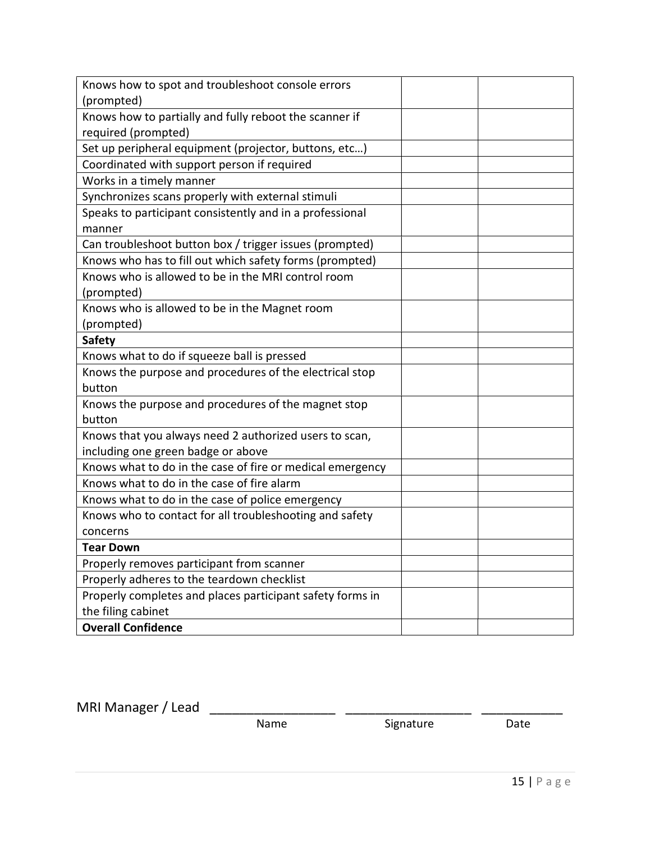| Knows how to spot and troubleshoot console errors         |  |
|-----------------------------------------------------------|--|
| (prompted)                                                |  |
| Knows how to partially and fully reboot the scanner if    |  |
| required (prompted)                                       |  |
| Set up peripheral equipment (projector, buttons, etc)     |  |
| Coordinated with support person if required               |  |
| Works in a timely manner                                  |  |
| Synchronizes scans properly with external stimuli         |  |
| Speaks to participant consistently and in a professional  |  |
| manner                                                    |  |
| Can troubleshoot button box / trigger issues (prompted)   |  |
| Knows who has to fill out which safety forms (prompted)   |  |
| Knows who is allowed to be in the MRI control room        |  |
| (prompted)                                                |  |
| Knows who is allowed to be in the Magnet room             |  |
| (prompted)                                                |  |
| <b>Safety</b>                                             |  |
| Knows what to do if squeeze ball is pressed               |  |
| Knows the purpose and procedures of the electrical stop   |  |
| button                                                    |  |
| Knows the purpose and procedures of the magnet stop       |  |
| button                                                    |  |
| Knows that you always need 2 authorized users to scan,    |  |
| including one green badge or above                        |  |
| Knows what to do in the case of fire or medical emergency |  |
| Knows what to do in the case of fire alarm                |  |
| Knows what to do in the case of police emergency          |  |
| Knows who to contact for all troubleshooting and safety   |  |
| concerns                                                  |  |
| <b>Tear Down</b>                                          |  |
| Properly removes participant from scanner                 |  |
| Properly adheres to the teardown checklist                |  |
| Properly completes and places participant safety forms in |  |
| the filing cabinet                                        |  |
| <b>Overall Confidence</b>                                 |  |

MRI Manager / Lead \_\_\_\_\_\_\_\_\_\_\_\_\_\_\_\_\_ \_\_\_\_\_\_\_\_\_\_\_\_\_\_\_\_\_ \_\_\_\_\_\_\_\_\_\_\_

Signature Date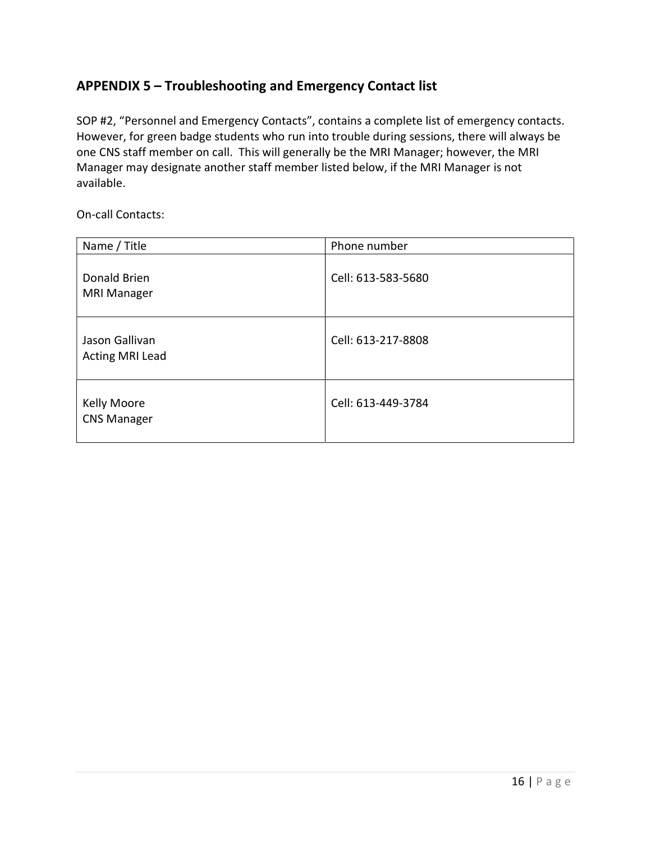# APPENDIX 5 – Troubleshooting and Emergency Contact list

SOP #2, "Personnel and Emergency Contacts", contains a complete list of emergency contacts. However, for green badge students who run into trouble during sessions, there will always be one CNS staff member on call. This will generally be the MRI Manager; however, the MRI Manager may designate another staff member listed below, if the MRI Manager is not available.

On-call Contacts:

| Name / Title                             | Phone number       |
|------------------------------------------|--------------------|
| Donald Brien<br><b>MRI Manager</b>       | Cell: 613-583-5680 |
| Jason Gallivan<br><b>Acting MRI Lead</b> | Cell: 613-217-8808 |
| Kelly Moore<br><b>CNS Manager</b>        | Cell: 613-449-3784 |